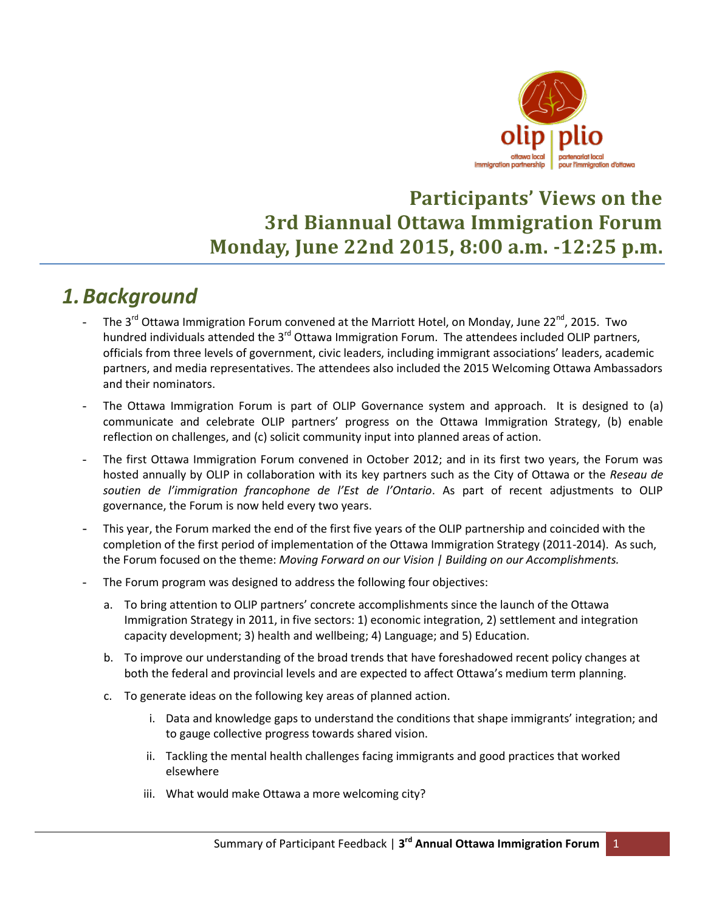

### **Participants' Views on the 3rd Biannual Ottawa Immigration Forum Monday, June 22nd 2015, 8:00 a.m. -12:25 p.m.**

### *1.Background*

- The 3<sup>rd</sup> Ottawa Immigration Forum convened at the Marriott Hotel, on Monday, June 22<sup>nd</sup>, 2015. Two hundred individuals attended the 3<sup>rd</sup> Ottawa Immigration Forum. The attendees included OLIP partners, officials from three levels of government, civic leaders, including immigrant associations' leaders, academic partners, and media representatives. The attendees also included the 2015 Welcoming Ottawa Ambassadors and their nominators.
- The Ottawa Immigration Forum is part of OLIP Governance system and approach. It is designed to (a) communicate and celebrate OLIP partners' progress on the Ottawa Immigration Strategy, (b) enable reflection on challenges, and (c) solicit community input into planned areas of action.
- The first Ottawa Immigration Forum convened in October 2012; and in its first two years, the Forum was hosted annually by OLIP in collaboration with its key partners such as the City of Ottawa or the *Reseau de soutien de l'immigration francophone de l'Est de l'Ontario*. As part of recent adjustments to OLIP governance, the Forum is now held every two years.
- This year, the Forum marked the end of the first five years of the OLIP partnership and coincided with the completion of the first period of implementation of the Ottawa Immigration Strategy (2011-2014). As such, the Forum focused on the theme: *Moving Forward on our Vision | Building on our Accomplishments.*
- The Forum program was designed to address the following four objectives:
	- a. To bring attention to OLIP partners' concrete accomplishments since the launch of the Ottawa Immigration Strategy in 2011, in five sectors: 1) economic integration, 2) settlement and integration capacity development; 3) health and wellbeing; 4) Language; and 5) Education.
	- b. To improve our understanding of the broad trends that have foreshadowed recent policy changes at both the federal and provincial levels and are expected to affect Ottawa's medium term planning.
	- c. To generate ideas on the following key areas of planned action.
		- i. Data and knowledge gaps to understand the conditions that shape immigrants' integration; and to gauge collective progress towards shared vision.
		- ii. Tackling the mental health challenges facing immigrants and good practices that worked elsewhere
		- iii. What would make Ottawa a more welcoming city?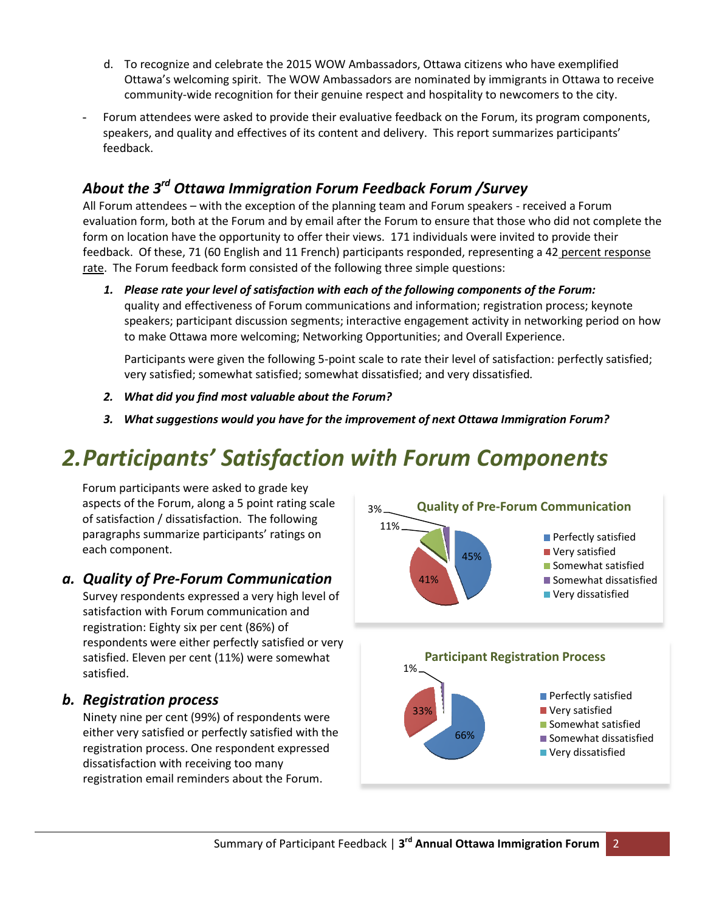- d. To recognize and celebrate the 2015 WOW Ambassadors, Ottawa citizens who have exemplified Ottawa's welcoming spirit. The WOW Ambassadors are nominated by immigrants in Ottawa to receive community-wide recognition for their genuine respect and hospitality to newcomers to the city.
- Forum attendees were asked to provide their evaluative feedback on the Forum, its program components, speakers, and quality and effectives of its content and delivery. This report summarizes participants' feedback.

### *About the 3rd Ottawa Immigration Forum Feedback Forum /Survey*

All Forum attendees – with the exception of the planning team and Forum speakers - received a Forum evaluation form, both at the Forum and by email after the Forum to ensure that those who did not complete the form on location have the opportunity to offer their views. 171 individuals were invited to provide their feedback. Of these, 71 (60 English and 11 French) participants responded, representing a 42 percent response rate. The Forum feedback form consisted of the following three simple questions:

*1. Please rate your level of satisfaction with each of the following components of the Forum:*  quality and effectiveness of Forum communications and information; registration process; keynote speakers; participant discussion segments; interactive engagement activity in networking period on how to make Ottawa more welcoming; Networking Opportunities; and Overall Experience.

Participants were given the following 5-point scale to rate their level of satisfaction: perfectly satisfied; very satisfied; somewhat satisfied; somewhat dissatisfied; and very dissatisfied*.*

- *2. What did you find most valuable about the Forum?*
- *3. What suggestions would you have for the improvement of next Ottawa Immigration Forum?*

# *2.Participants' Satisfaction with Forum Components*

Forum participants were asked to grade key aspects of the Forum, along a 5 point rating scale of satisfaction / dissatisfaction. The following paragraphs summarize participants' ratings on each component.

#### *a. Quality of Pre-Forum Communication*

Survey respondents expressed a very high level of satisfaction with Forum communication and registration: Eighty six per cent (86%) of respondents were either perfectly satisfied or very satisfied. Eleven per cent (11%) were somewhat satisfied.

#### *b. Registration process*

Ninety nine per cent (99%) of respondents were either very satisfied or perfectly satisfied with the registration process. One respondent expressed dissatisfaction with receiving too many registration email reminders about the Forum.

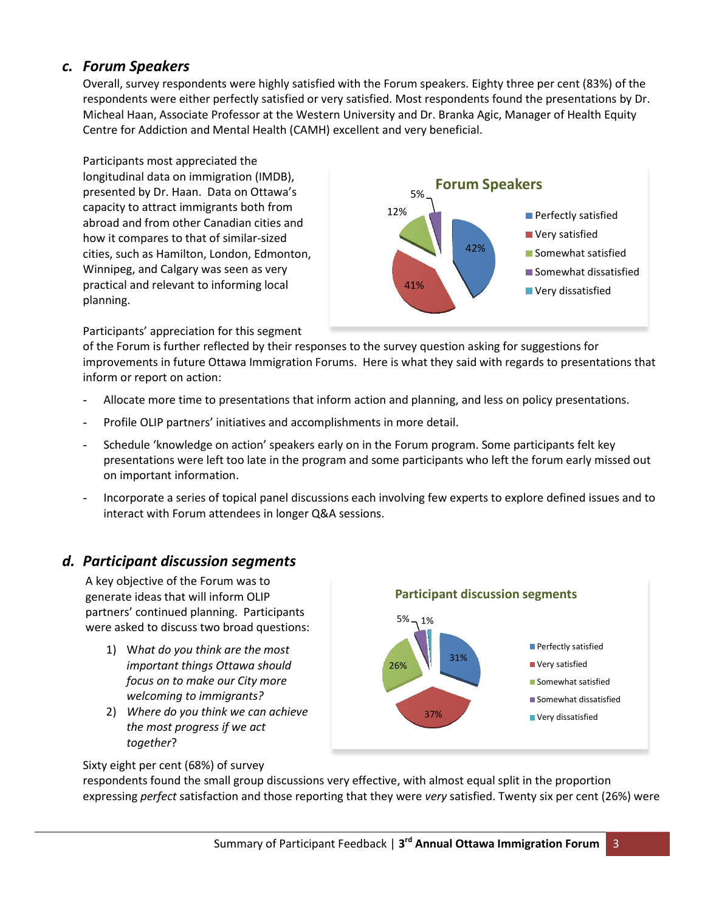#### *c. Forum Speakers*

Overall, survey respondents were highly satisfied with the Forum speakers. Eighty three per cent (83%) of the respondents were either perfectly satisfied or very satisfied. Most respondents found the presentations by Dr. Micheal Haan, Associate Professor at the Western University and Dr. Branka Agic, Manager of Health Equity Centre for Addiction and Mental Health (CAMH) excellent and very beneficial.

Participants most appreciated the longitudinal data on immigration (IMDB), presented by Dr. Haan. Data on Ottawa's capacity to attract immigrants both from abroad and from other Canadian cities and how it compares to that of similar-sized cities, such as Hamilton, London, Edmonton, Winnipeg, and Calgary was seen as very practical and relevant to informing local planning.



Participants' appreciation for this segment

of the Forum is further reflected by their responses to the survey question asking for suggestions for improvements in future Ottawa Immigration Forums. Here is what they said with regards to presentations that inform or report on action:

- Allocate more time to presentations that inform action and planning, and less on policy presentations.
- Profile OLIP partners' initiatives and accomplishments in more detail.
- Schedule 'knowledge on action' speakers early on in the Forum program. Some participants felt key presentations were left too late in the program and some participants who left the forum early missed out on important information.
- Incorporate a series of topical panel discussions each involving few experts to explore defined issues and to interact with Forum attendees in longer Q&A sessions.

#### *d. Participant discussion segments*

A key objective of the Forum was to generate ideas that will inform OLIP partners' continued planning. Participants were asked to discuss two broad questions:

- 1) W*hat do you think are the most important things Ottawa should focus on to make our City more welcoming to immigrants?*
- 2) *Where do you think we can achieve the most progress if we act together*?



Sixty eight per cent (68%) of survey

respondents found the small group discussions very effective, with almost equal split in the proportion expressing *perfect* satisfaction and those reporting that they were *very* satisfied. Twenty six per cent (26%) were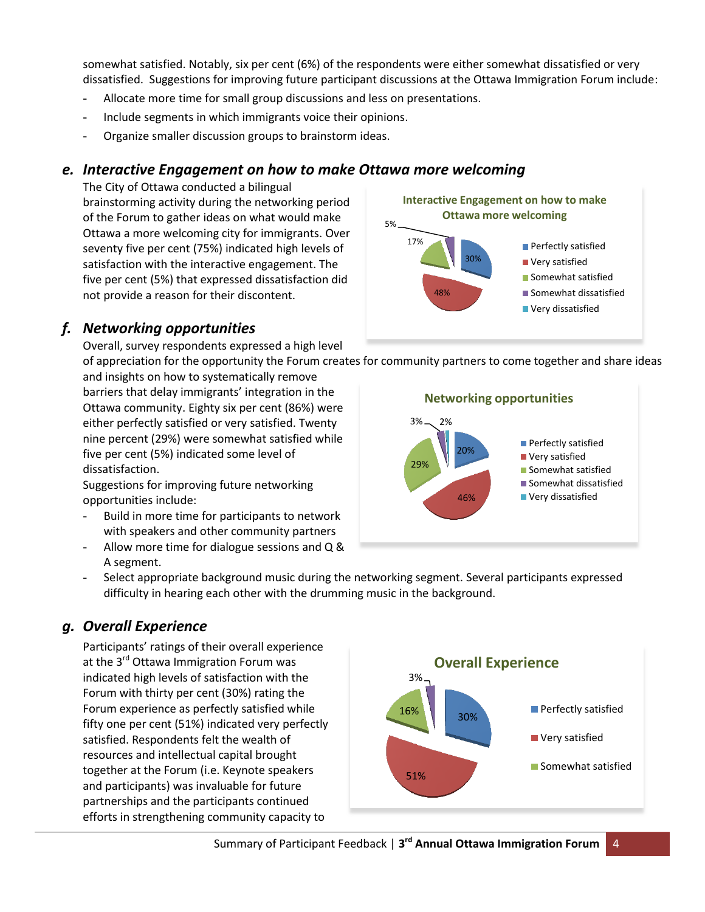somewhat satisfied. Notably, six per cent (6%) of the respondents were either somewhat dissatisfied or very dissatisfied. Suggestions for improving future participant discussions at the Ottawa Immigration Forum include:

- Allocate more time for small group discussions and less on presentations.
- Include segments in which immigrants voice their opinions.
- Organize smaller discussion groups to brainstorm ideas.

#### *e. Interactive Engagement on how to make Ottawa more welcoming*

The City of Ottawa conducted a bilingual brainstorming activity during the networking period of the Forum to gather ideas on what would make Ottawa a more welcoming city for immigrants. Over seventy five per cent (75%) indicated high levels of satisfaction with the interactive engagement. The five per cent (5%) that expressed dissatisfaction did not provide a reason for their discontent.

#### *f. Networking opportunities*

Overall, survey respondents expressed a high level

of appreciation for the opportunity the Forum creates for community partners to come together and share ideas and insights on how to systematically remove barriers that delay immigrants' integration in the Ottawa community. Eighty six per cent (86%) were either perfectly satisfied or very satisfied. Twenty nine percent (29%) were somewhat satisfied while five per cent (5%) indicated some level of dissatisfaction.

Suggestions for improving future networking opportunities include:

- Build in more time for participants to network with speakers and other community partners
- Allow more time for dialogue sessions and Q & A segment.





- Select appropriate background music during the networking segment. Several participants expressed difficulty in hearing each other with the drumming music in the background.

#### *g. Overall Experience*

Participants' ratings of their overall experience at the 3<sup>rd</sup> Ottawa Immigration Forum was indicated high levels of satisfaction with the Forum with thirty per cent (30%) rating the Forum experience as perfectly satisfied while fifty one per cent (51%) indicated very perfectly satisfied. Respondents felt the wealth of resources and intellectual capital brought together at the Forum (i.e. Keynote speakers and participants) was invaluable for future partnerships and the participants continued efforts in strengthening community capacity to

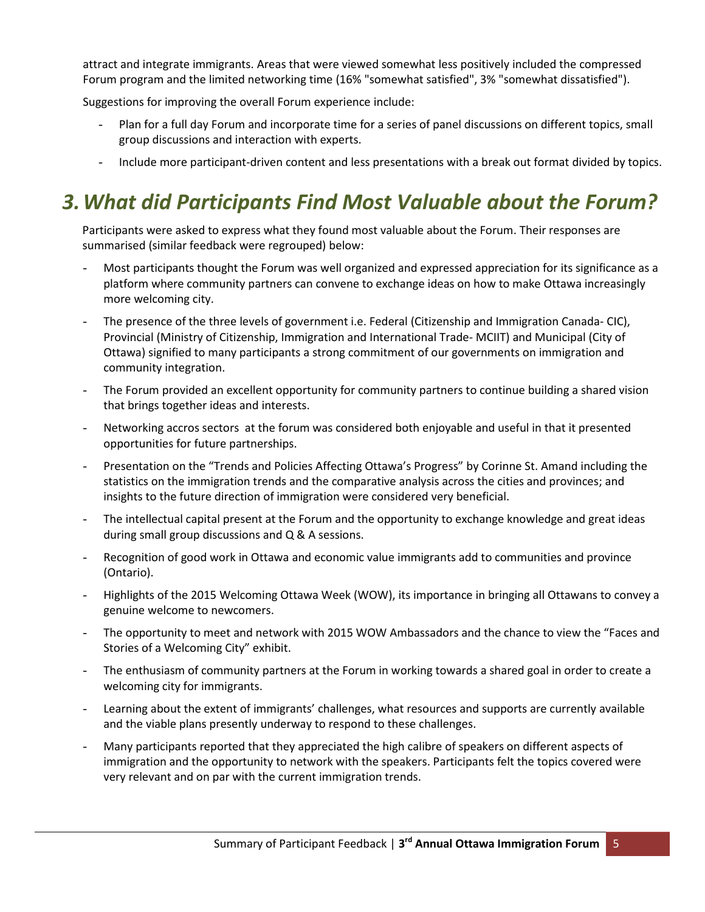attract and integrate immigrants. Areas that were viewed somewhat less positively included the compressed Forum program and the limited networking time (16% "somewhat satisfied", 3% "somewhat dissatisfied").

Suggestions for improving the overall Forum experience include:

- Plan for a full day Forum and incorporate time for a series of panel discussions on different topics, small group discussions and interaction with experts.
- Include more participant-driven content and less presentations with a break out format divided by topics.

## *3.What did Participants Find Most Valuable about the Forum?*

Participants were asked to express what they found most valuable about the Forum. Their responses are summarised (similar feedback were regrouped) below:

- Most participants thought the Forum was well organized and expressed appreciation for its significance as a platform where community partners can convene to exchange ideas on how to make Ottawa increasingly more welcoming city.
- The presence of the three levels of government i.e. Federal (Citizenship and Immigration Canada- CIC), Provincial (Ministry of Citizenship, Immigration and International Trade- MCIIT) and Municipal (City of Ottawa) signified to many participants a strong commitment of our governments on immigration and community integration.
- The Forum provided an excellent opportunity for community partners to continue building a shared vision that brings together ideas and interests.
- Networking accros sectors at the forum was considered both enjoyable and useful in that it presented opportunities for future partnerships.
- Presentation on the "Trends and Policies Affecting Ottawa's Progress" by Corinne St. Amand including the statistics on the immigration trends and the comparative analysis across the cities and provinces; and insights to the future direction of immigration were considered very beneficial.
- The intellectual capital present at the Forum and the opportunity to exchange knowledge and great ideas during small group discussions and Q & A sessions.
- Recognition of good work in Ottawa and economic value immigrants add to communities and province (Ontario).
- Highlights of the 2015 Welcoming Ottawa Week (WOW), its importance in bringing all Ottawans to convey a genuine welcome to newcomers.
- The opportunity to meet and network with 2015 WOW Ambassadors and the chance to view the "Faces and Stories of a Welcoming City" exhibit.
- The enthusiasm of community partners at the Forum in working towards a shared goal in order to create a welcoming city for immigrants.
- Learning about the extent of immigrants' challenges, what resources and supports are currently available and the viable plans presently underway to respond to these challenges.
- Many participants reported that they appreciated the high calibre of speakers on different aspects of immigration and the opportunity to network with the speakers. Participants felt the topics covered were very relevant and on par with the current immigration trends.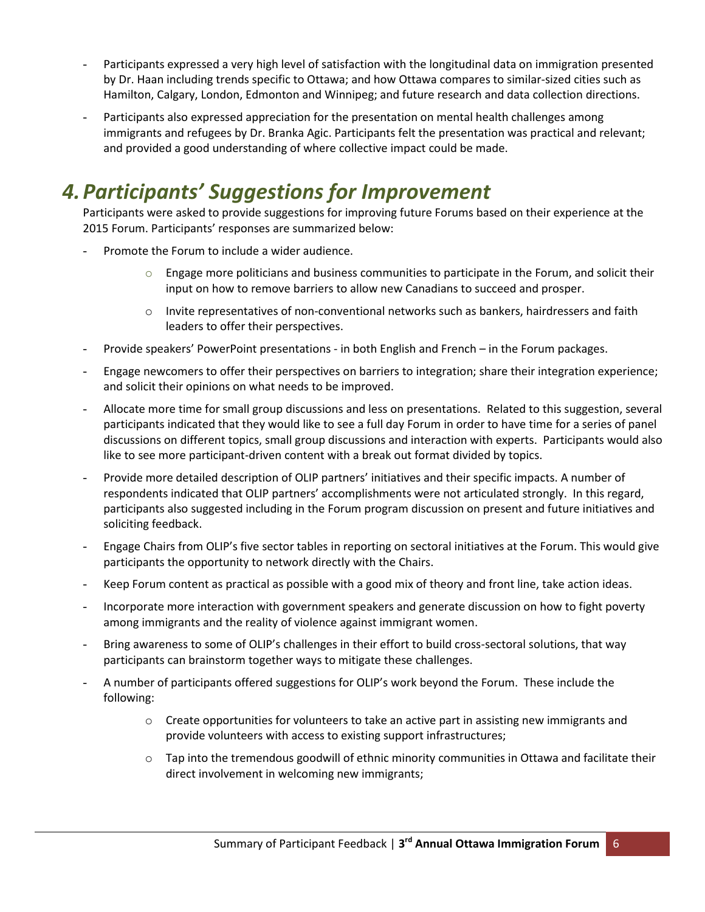- Participants expressed a very high level of satisfaction with the longitudinal data on immigration presented by Dr. Haan including trends specific to Ottawa; and how Ottawa compares to similar-sized cities such as Hamilton, Calgary, London, Edmonton and Winnipeg; and future research and data collection directions.
- Participants also expressed appreciation for the presentation on mental health challenges among immigrants and refugees by Dr. Branka Agic. Participants felt the presentation was practical and relevant; and provided a good understanding of where collective impact could be made.

## *4.Participants' Suggestions for Improvement*

Participants were asked to provide suggestions for improving future Forums based on their experience at the 2015 Forum. Participants' responses are summarized below:

- Promote the Forum to include a wider audience.
	- $\circ$  Engage more politicians and business communities to participate in the Forum, and solicit their input on how to remove barriers to allow new Canadians to succeed and prosper.
	- $\circ$  Invite representatives of non-conventional networks such as bankers, hairdressers and faith leaders to offer their perspectives.
- Provide speakers' PowerPoint presentations in both English and French in the Forum packages.
- Engage newcomers to offer their perspectives on barriers to integration; share their integration experience; and solicit their opinions on what needs to be improved.
- Allocate more time for small group discussions and less on presentations. Related to this suggestion, several participants indicated that they would like to see a full day Forum in order to have time for a series of panel discussions on different topics, small group discussions and interaction with experts. Participants would also like to see more participant-driven content with a break out format divided by topics.
- Provide more detailed description of OLIP partners' initiatives and their specific impacts. A number of respondents indicated that OLIP partners' accomplishments were not articulated strongly. In this regard, participants also suggested including in the Forum program discussion on present and future initiatives and soliciting feedback.
- Engage Chairs from OLIP's five sector tables in reporting on sectoral initiatives at the Forum. This would give participants the opportunity to network directly with the Chairs.
- Keep Forum content as practical as possible with a good mix of theory and front line, take action ideas.
- Incorporate more interaction with government speakers and generate discussion on how to fight poverty among immigrants and the reality of violence against immigrant women.
- Bring awareness to some of OLIP's challenges in their effort to build cross-sectoral solutions, that way participants can brainstorm together ways to mitigate these challenges.
- A number of participants offered suggestions for OLIP's work beyond the Forum. These include the following:
	- $\circ$  Create opportunities for volunteers to take an active part in assisting new immigrants and provide volunteers with access to existing support infrastructures;
	- $\circ$  Tap into the tremendous goodwill of ethnic minority communities in Ottawa and facilitate their direct involvement in welcoming new immigrants;